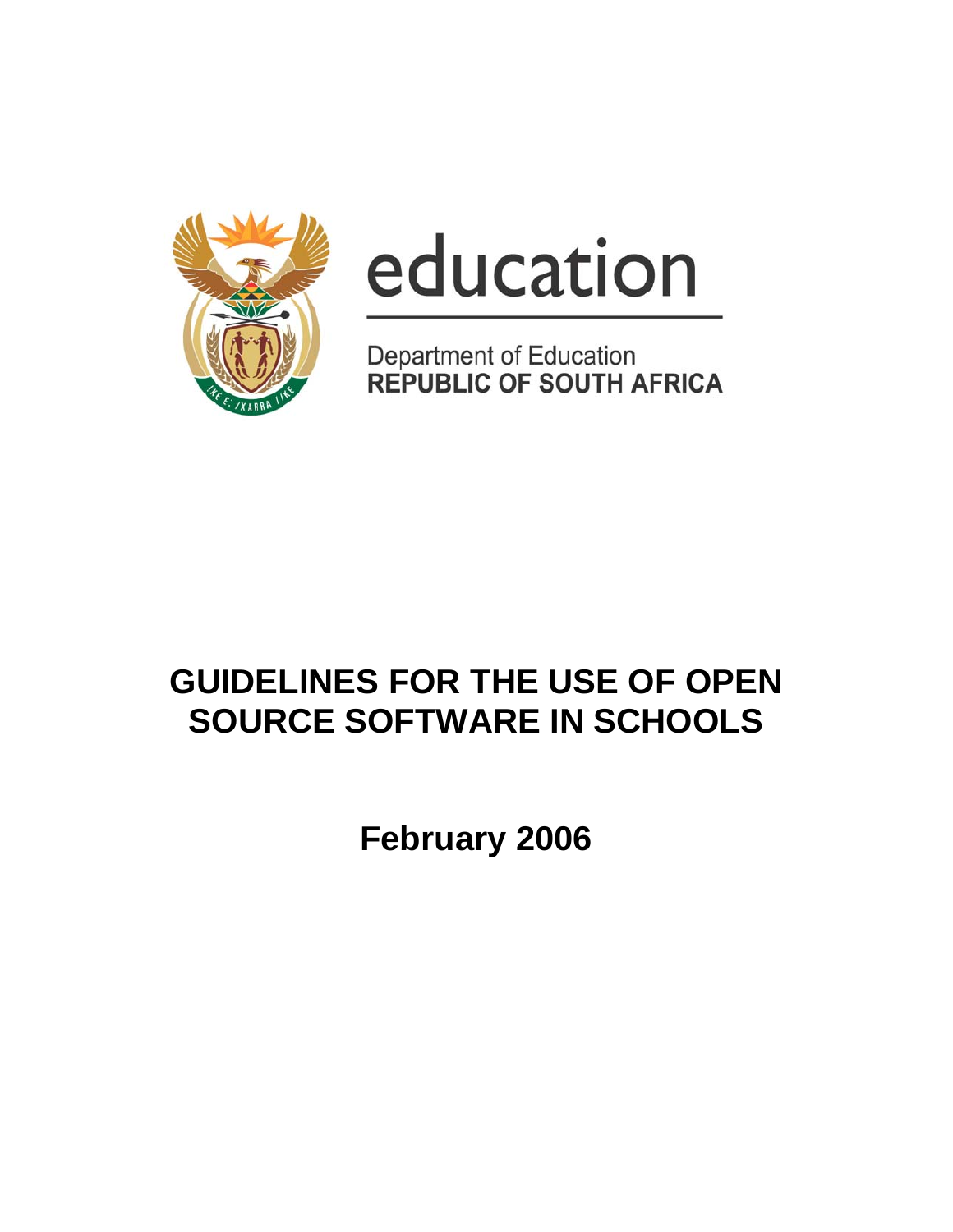

# education

Department of Education<br>REPUBLIC OF SOUTH AFRICA

# **GUIDELINES FOR THE USE OF OPEN SOURCE SOFTWARE IN SCHOOLS**

**February 2006**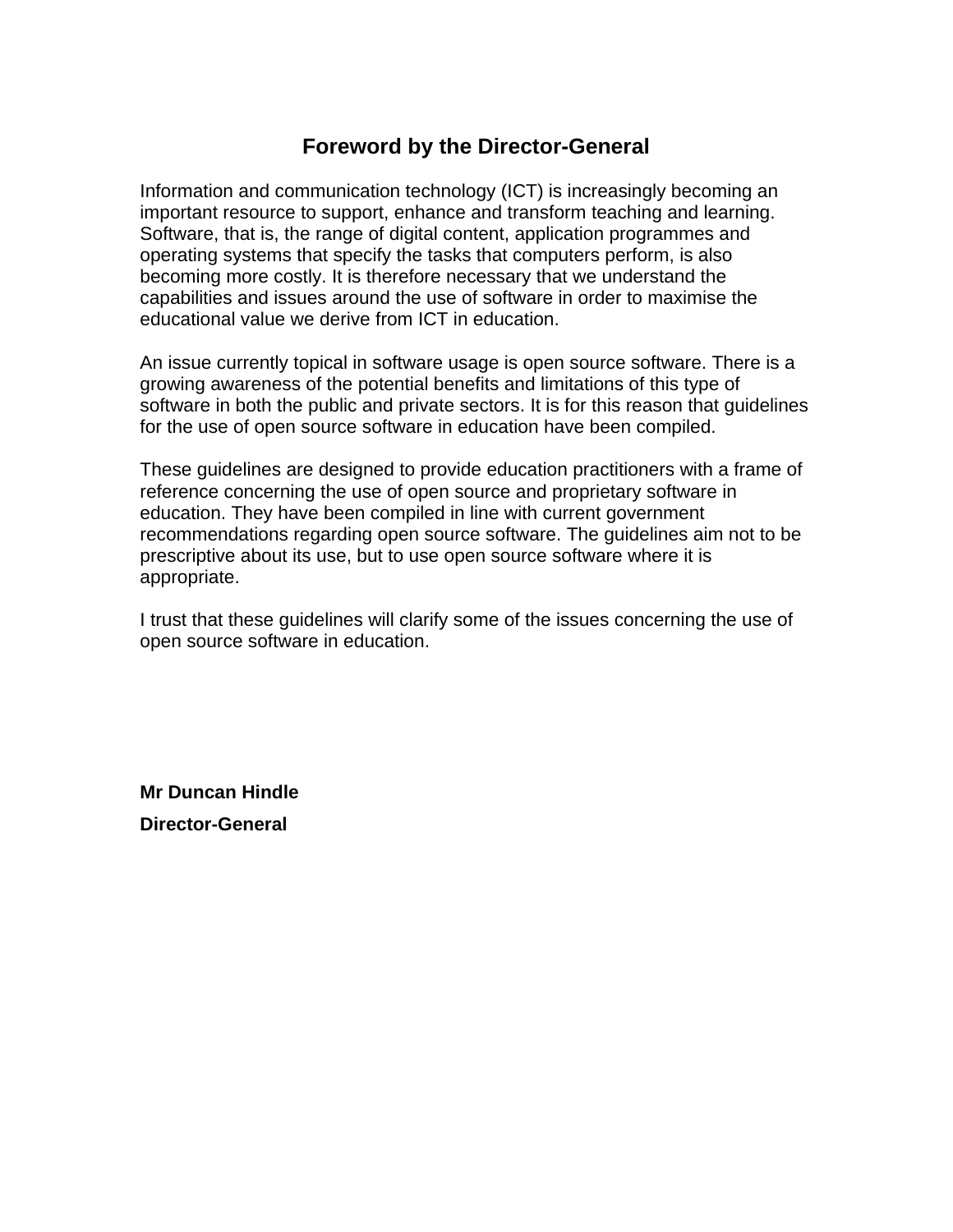# **Foreword by the Director-General**

Information and communication technology (ICT) is increasingly becoming an important resource to support, enhance and transform teaching and learning. Software, that is, the range of digital content, application programmes and operating systems that specify the tasks that computers perform, is also becoming more costly. It is therefore necessary that we understand the capabilities and issues around the use of software in order to maximise the educational value we derive from ICT in education.

An issue currently topical in software usage is open source software. There is a growing awareness of the potential benefits and limitations of this type of software in both the public and private sectors. It is for this reason that guidelines for the use of open source software in education have been compiled.

These guidelines are designed to provide education practitioners with a frame of reference concerning the use of open source and proprietary software in education. They have been compiled in line with current government recommendations regarding open source software. The guidelines aim not to be prescriptive about its use, but to use open source software where it is appropriate.

I trust that these guidelines will clarify some of the issues concerning the use of open source software in education.

**Mr Duncan Hindle Director-General**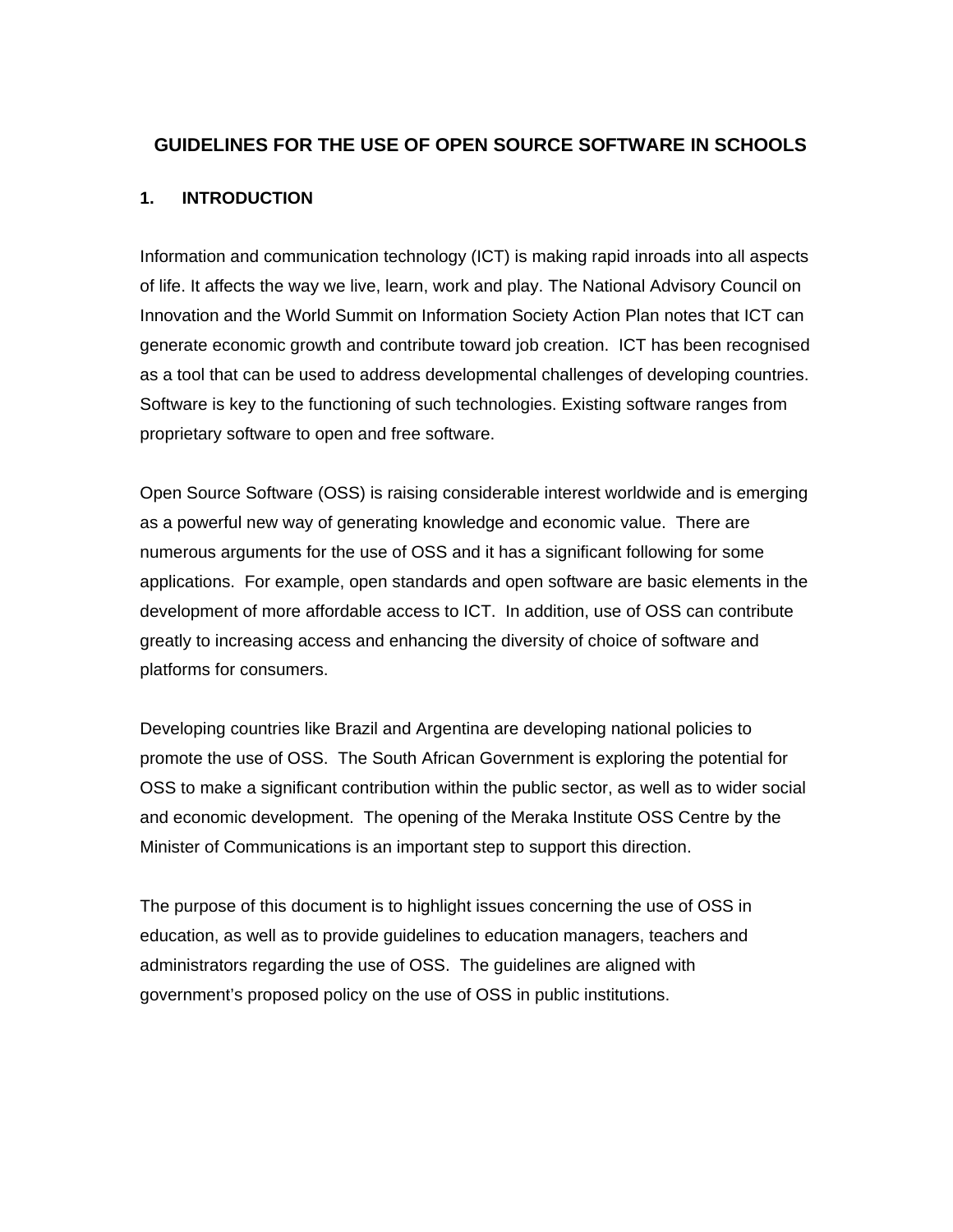#### **GUIDELINES FOR THE USE OF OPEN SOURCE SOFTWARE IN SCHOOLS**

#### **1. INTRODUCTION**

Information and communication technology (ICT) is making rapid inroads into all aspects of life. It affects the way we live, learn, work and play. The National Advisory Council on Innovation and the World Summit on Information Society Action Plan notes that ICT can generate economic growth and contribute toward job creation. ICT has been recognised as a tool that can be used to address developmental challenges of developing countries. Software is key to the functioning of such technologies. Existing software ranges from proprietary software to open and free software.

Open Source Software (OSS) is raising considerable interest worldwide and is emerging as a powerful new way of generating knowledge and economic value. There are numerous arguments for the use of OSS and it has a significant following for some applications. For example, open standards and open software are basic elements in the development of more affordable access to ICT. In addition, use of OSS can contribute greatly to increasing access and enhancing the diversity of choice of software and platforms for consumers.

Developing countries like Brazil and Argentina are developing national policies to promote the use of OSS. The South African Government is exploring the potential for OSS to make a significant contribution within the public sector, as well as to wider social and economic development. The opening of the Meraka Institute OSS Centre by the Minister of Communications is an important step to support this direction.

The purpose of this document is to highlight issues concerning the use of OSS in education, as well as to provide guidelines to education managers, teachers and administrators regarding the use of OSS. The guidelines are aligned with government's proposed policy on the use of OSS in public institutions.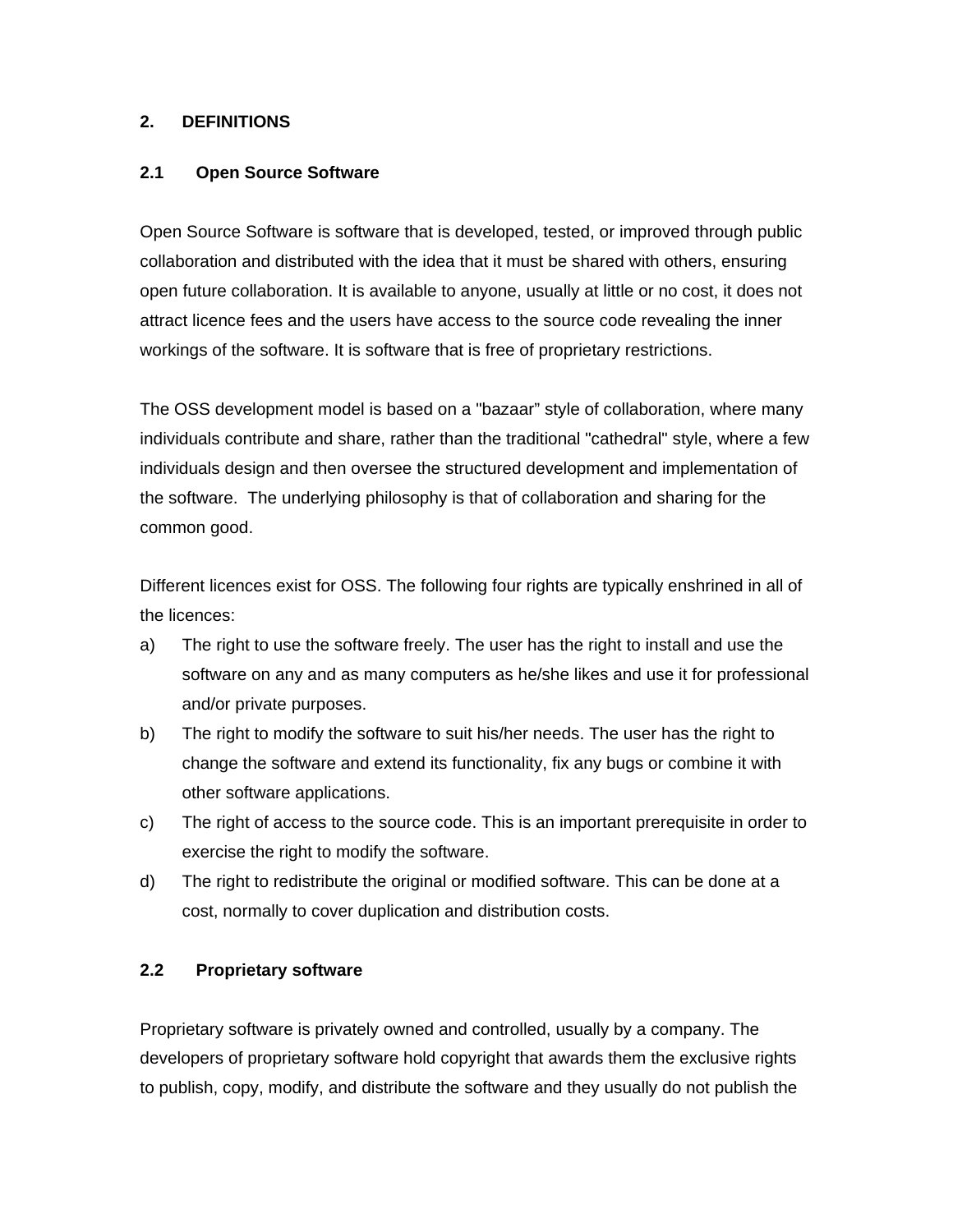#### **2. DEFINITIONS**

#### **2.1 Open Source Software**

Open Source Software is software that is developed, tested, or improved through public collaboration and distributed with the idea that it must be shared with others, ensuring open future collaboration. It is available to anyone, usually at little or no cost, it does not attract licence fees and the users have access to the source code revealing the inner workings of the software. It is software that is free of proprietary restrictions.

The OSS development model is based on a "bazaar" style of collaboration, where many individuals contribute and share, rather than the traditional "cathedral" style, where a few individuals design and then oversee the structured development and implementation of the software. The underlying philosophy is that of collaboration and sharing for the common good.

Different licences exist for OSS. The following four rights are typically enshrined in all of the licences:

- a) The right to use the software freely. The user has the right to install and use the software on any and as many computers as he/she likes and use it for professional and/or private purposes.
- b) The right to modify the software to suit his/her needs. The user has the right to change the software and extend its functionality, fix any bugs or combine it with other software applications.
- c) The right of access to the source code. This is an important prerequisite in order to exercise the right to modify the software.
- d) The right to redistribute the original or modified software. This can be done at a cost, normally to cover duplication and distribution costs.

#### **2.2 Proprietary software**

Proprietary software is privately owned and controlled, usually by a company. The developers of proprietary software hold copyright that awards them the exclusive rights to publish, copy, modify, and distribute the software and they usually do not publish the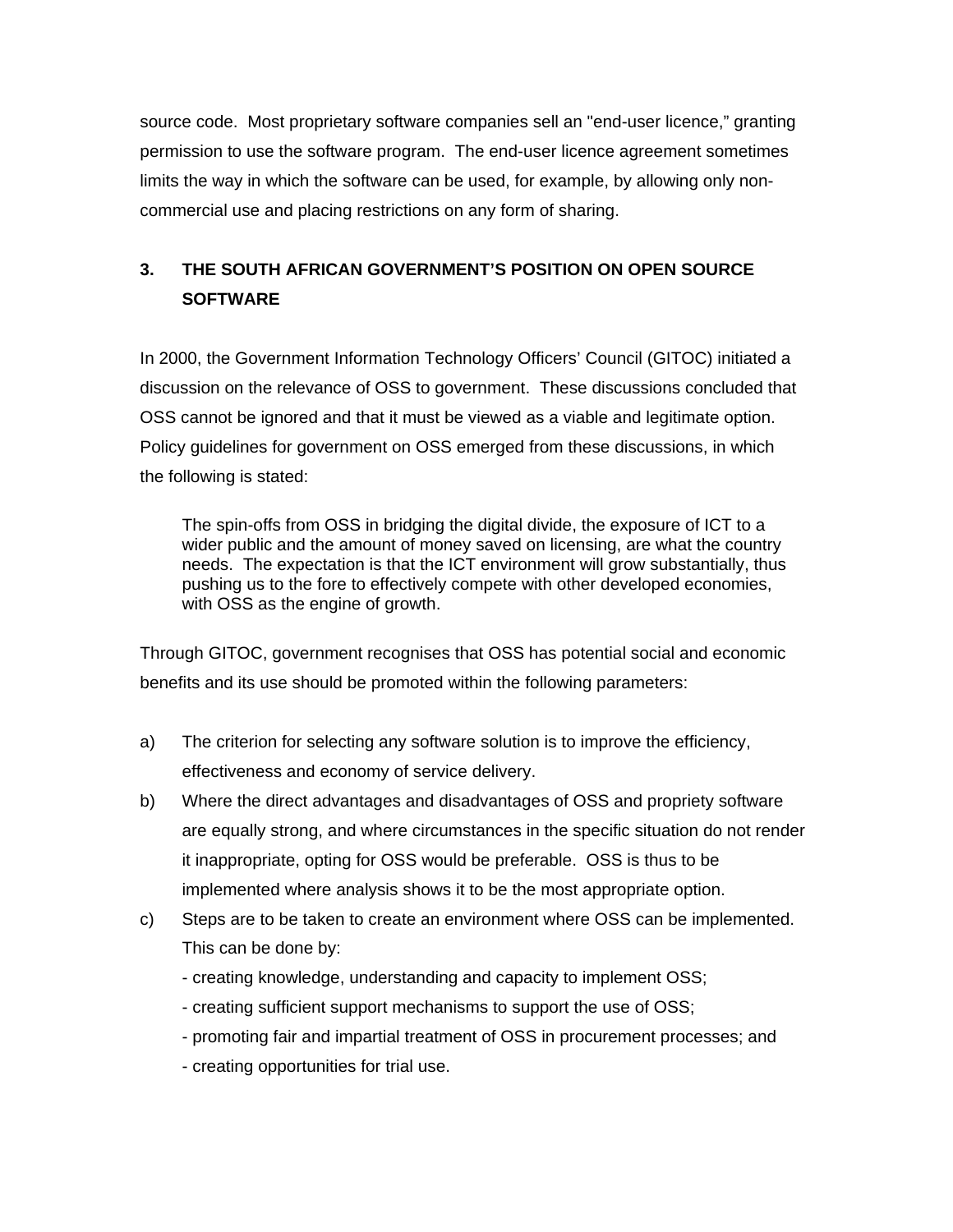source code. Most proprietary software companies sell an "end-user licence," granting permission to use the software program. The end-user licence agreement sometimes limits the way in which the software can be used, for example, by allowing only noncommercial use and placing restrictions on any form of sharing.

# **3. THE SOUTH AFRICAN GOVERNMENT'S POSITION ON OPEN SOURCE SOFTWARE**

In 2000, the Government Information Technology Officers' Council (GITOC) initiated a discussion on the relevance of OSS to government. These discussions concluded that OSS cannot be ignored and that it must be viewed as a viable and legitimate option. Policy guidelines for government on OSS emerged from these discussions, in which the following is stated:

The spin-offs from OSS in bridging the digital divide, the exposure of ICT to a wider public and the amount of money saved on licensing, are what the country needs. The expectation is that the ICT environment will grow substantially, thus pushing us to the fore to effectively compete with other developed economies, with OSS as the engine of growth.

Through GITOC, government recognises that OSS has potential social and economic benefits and its use should be promoted within the following parameters:

- a) The criterion for selecting any software solution is to improve the efficiency, effectiveness and economy of service delivery.
- b) Where the direct advantages and disadvantages of OSS and propriety software are equally strong, and where circumstances in the specific situation do not render it inappropriate, opting for OSS would be preferable. OSS is thus to be implemented where analysis shows it to be the most appropriate option.
- c) Steps are to be taken to create an environment where OSS can be implemented. This can be done by:
	- creating knowledge, understanding and capacity to implement OSS;
	- creating sufficient support mechanisms to support the use of OSS;
	- promoting fair and impartial treatment of OSS in procurement processes; and
	- creating opportunities for trial use.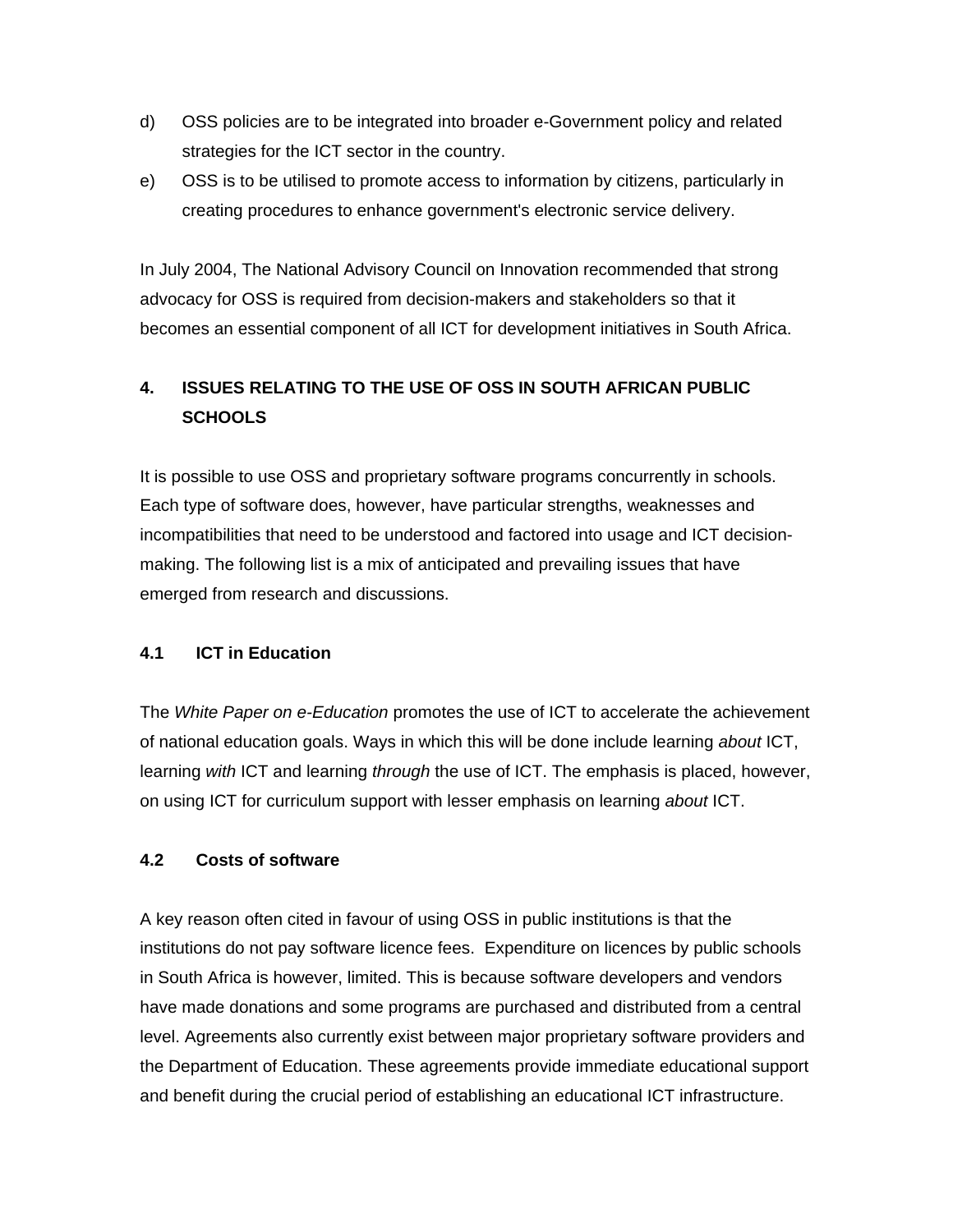- d) OSS policies are to be integrated into broader e-Government policy and related strategies for the ICT sector in the country.
- e) OSS is to be utilised to promote access to information by citizens, particularly in creating procedures to enhance government's electronic service delivery.

In July 2004, The National Advisory Council on Innovation recommended that strong advocacy for OSS is required from decision-makers and stakeholders so that it becomes an essential component of all ICT for development initiatives in South Africa.

## **4. ISSUES RELATING TO THE USE OF OSS IN SOUTH AFRICAN PUBLIC SCHOOLS**

It is possible to use OSS and proprietary software programs concurrently in schools. Each type of software does, however, have particular strengths, weaknesses and incompatibilities that need to be understood and factored into usage and ICT decisionmaking. The following list is a mix of anticipated and prevailing issues that have emerged from research and discussions.

#### **4.1 ICT in Education**

The *White Paper on e-Education* promotes the use of ICT to accelerate the achievement of national education goals. Ways in which this will be done include learning *about* ICT, learning *with* ICT and learning *through* the use of ICT. The emphasis is placed, however, on using ICT for curriculum support with lesser emphasis on learning *about* ICT.

#### **4.2 Costs of software**

A key reason often cited in favour of using OSS in public institutions is that the institutions do not pay software licence fees. Expenditure on licences by public schools in South Africa is however, limited. This is because software developers and vendors have made donations and some programs are purchased and distributed from a central level. Agreements also currently exist between major proprietary software providers and the Department of Education. These agreements provide immediate educational support and benefit during the crucial period of establishing an educational ICT infrastructure.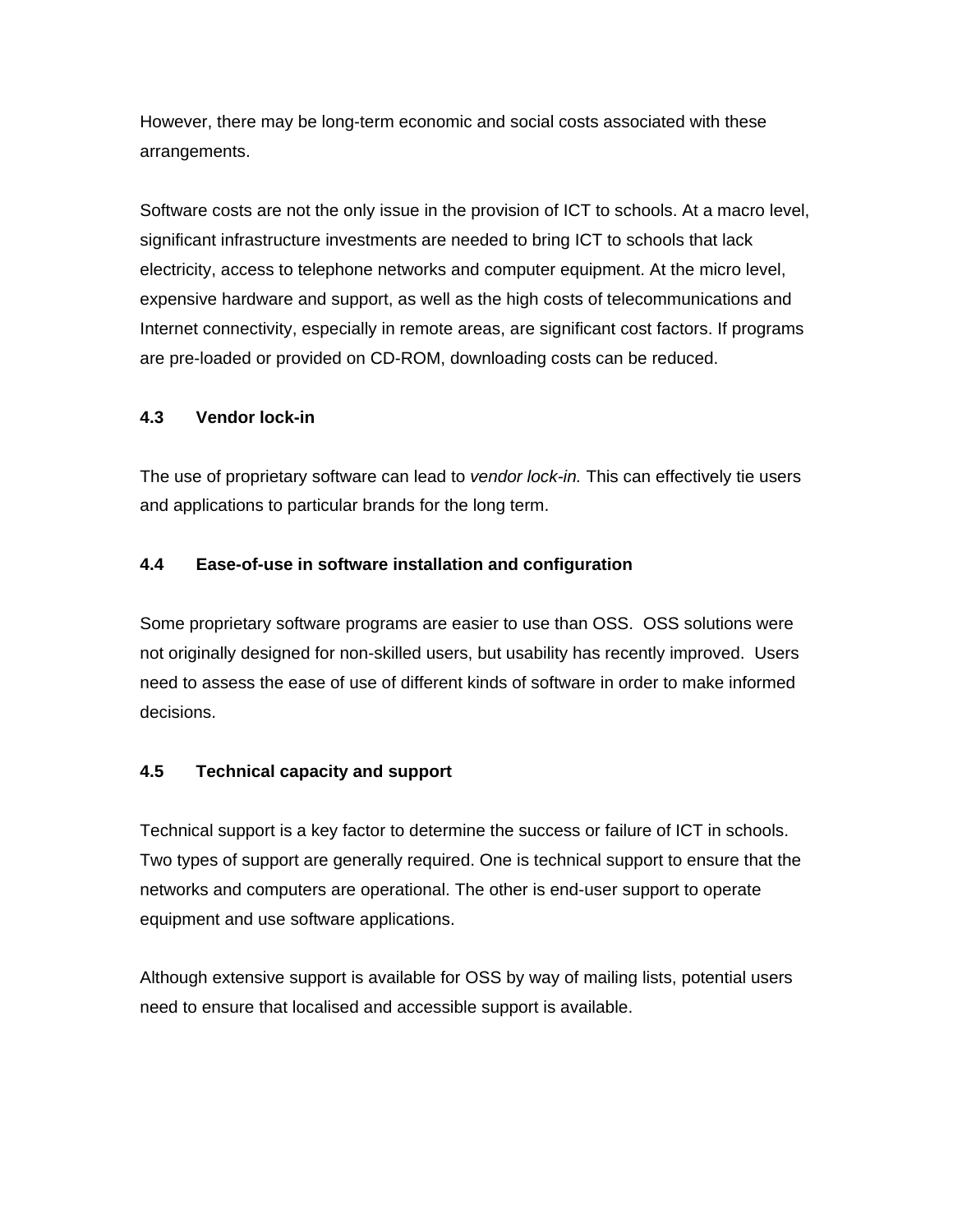However, there may be long-term economic and social costs associated with these arrangements.

Software costs are not the only issue in the provision of ICT to schools. At a macro level, significant infrastructure investments are needed to bring ICT to schools that lack electricity, access to telephone networks and computer equipment. At the micro level, expensive hardware and support, as well as the high costs of telecommunications and Internet connectivity, especially in remote areas, are significant cost factors. If programs are pre-loaded or provided on CD-ROM, downloading costs can be reduced.

#### **4.3 Vendor lock-in**

The use of proprietary software can lead to *vendor lock-in.* This can effectively tie users and applications to particular brands for the long term.

#### **4.4 Ease-of-use in software installation and configuration**

Some proprietary software programs are easier to use than OSS. OSS solutions were not originally designed for non-skilled users, but usability has recently improved. Users need to assess the ease of use of different kinds of software in order to make informed decisions.

#### **4.5 Technical capacity and support**

Technical support is a key factor to determine the success or failure of ICT in schools. Two types of support are generally required. One is technical support to ensure that the networks and computers are operational. The other is end-user support to operate equipment and use software applications.

Although extensive support is available for OSS by way of mailing lists, potential users need to ensure that localised and accessible support is available.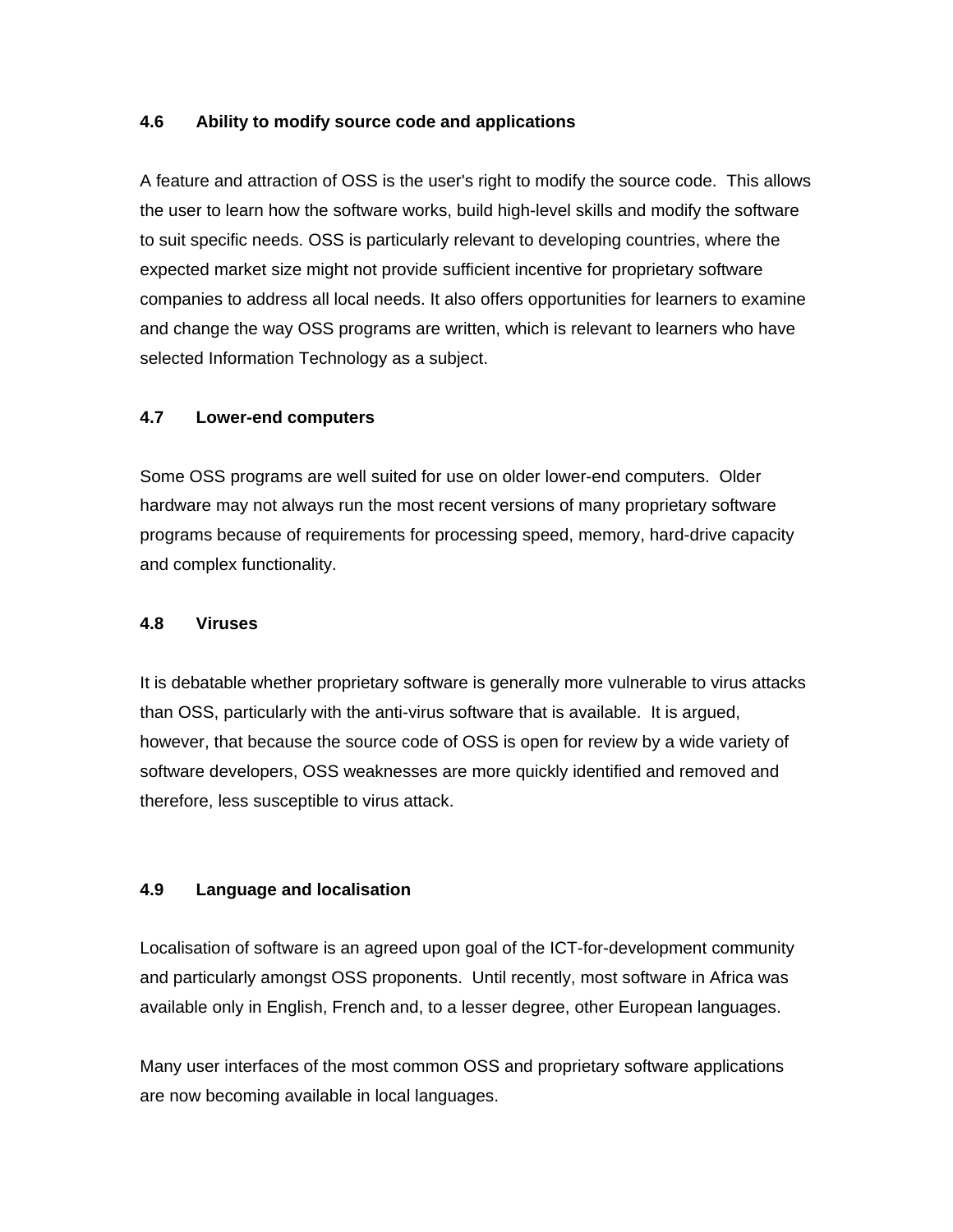#### **4.6 Ability to modify source code and applications**

A feature and attraction of OSS is the user's right to modify the source code. This allows the user to learn how the software works, build high-level skills and modify the software to suit specific needs. OSS is particularly relevant to developing countries, where the expected market size might not provide sufficient incentive for proprietary software companies to address all local needs. It also offers opportunities for learners to examine and change the way OSS programs are written, which is relevant to learners who have selected Information Technology as a subject.

#### **4.7 Lower-end computers**

Some OSS programs are well suited for use on older lower-end computers. Older hardware may not always run the most recent versions of many proprietary software programs because of requirements for processing speed, memory, hard-drive capacity and complex functionality.

#### **4.8 Viruses**

It is debatable whether proprietary software is generally more vulnerable to virus attacks than OSS, particularly with the anti-virus software that is available. It is argued, however, that because the source code of OSS is open for review by a wide variety of software developers, OSS weaknesses are more quickly identified and removed and therefore, less susceptible to virus attack.

#### **4.9 Language and localisation**

Localisation of software is an agreed upon goal of the ICT-for-development community and particularly amongst OSS proponents. Until recently, most software in Africa was available only in English, French and, to a lesser degree, other European languages.

Many user interfaces of the most common OSS and proprietary software applications are now becoming available in local languages.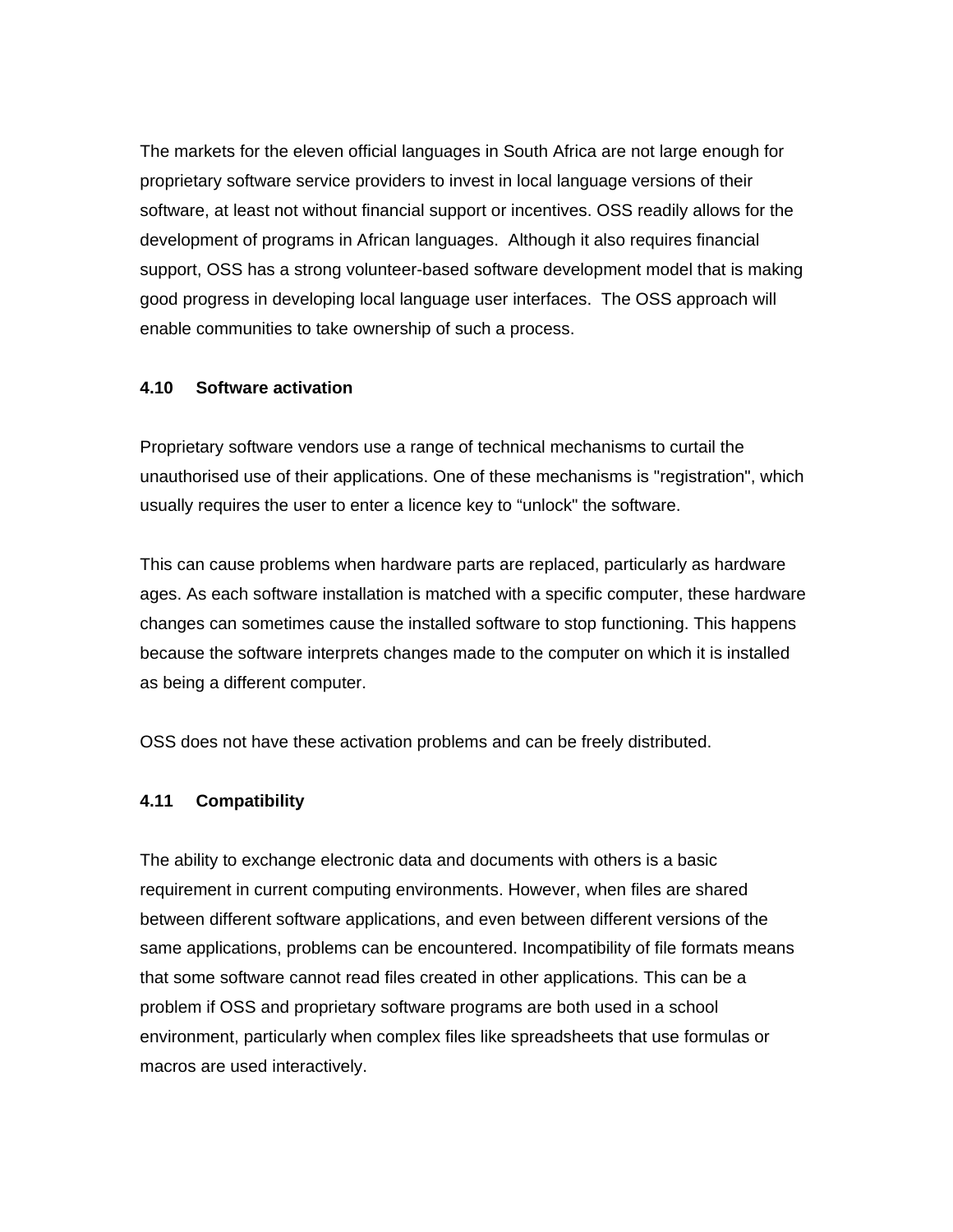The markets for the eleven official languages in South Africa are not large enough for proprietary software service providers to invest in local language versions of their software, at least not without financial support or incentives. OSS readily allows for the development of programs in African languages. Although it also requires financial support, OSS has a strong volunteer-based software development model that is making good progress in developing local language user interfaces. The OSS approach will enable communities to take ownership of such a process.

#### **4.10 Software activation**

Proprietary software vendors use a range of technical mechanisms to curtail the unauthorised use of their applications. One of these mechanisms is "registration", which usually requires the user to enter a licence key to "unlock" the software.

This can cause problems when hardware parts are replaced, particularly as hardware ages. As each software installation is matched with a specific computer, these hardware changes can sometimes cause the installed software to stop functioning. This happens because the software interprets changes made to the computer on which it is installed as being a different computer.

OSS does not have these activation problems and can be freely distributed.

#### **4.11 Compatibility**

The ability to exchange electronic data and documents with others is a basic requirement in current computing environments. However, when files are shared between different software applications, and even between different versions of the same applications, problems can be encountered. Incompatibility of file formats means that some software cannot read files created in other applications. This can be a problem if OSS and proprietary software programs are both used in a school environment, particularly when complex files like spreadsheets that use formulas or macros are used interactively.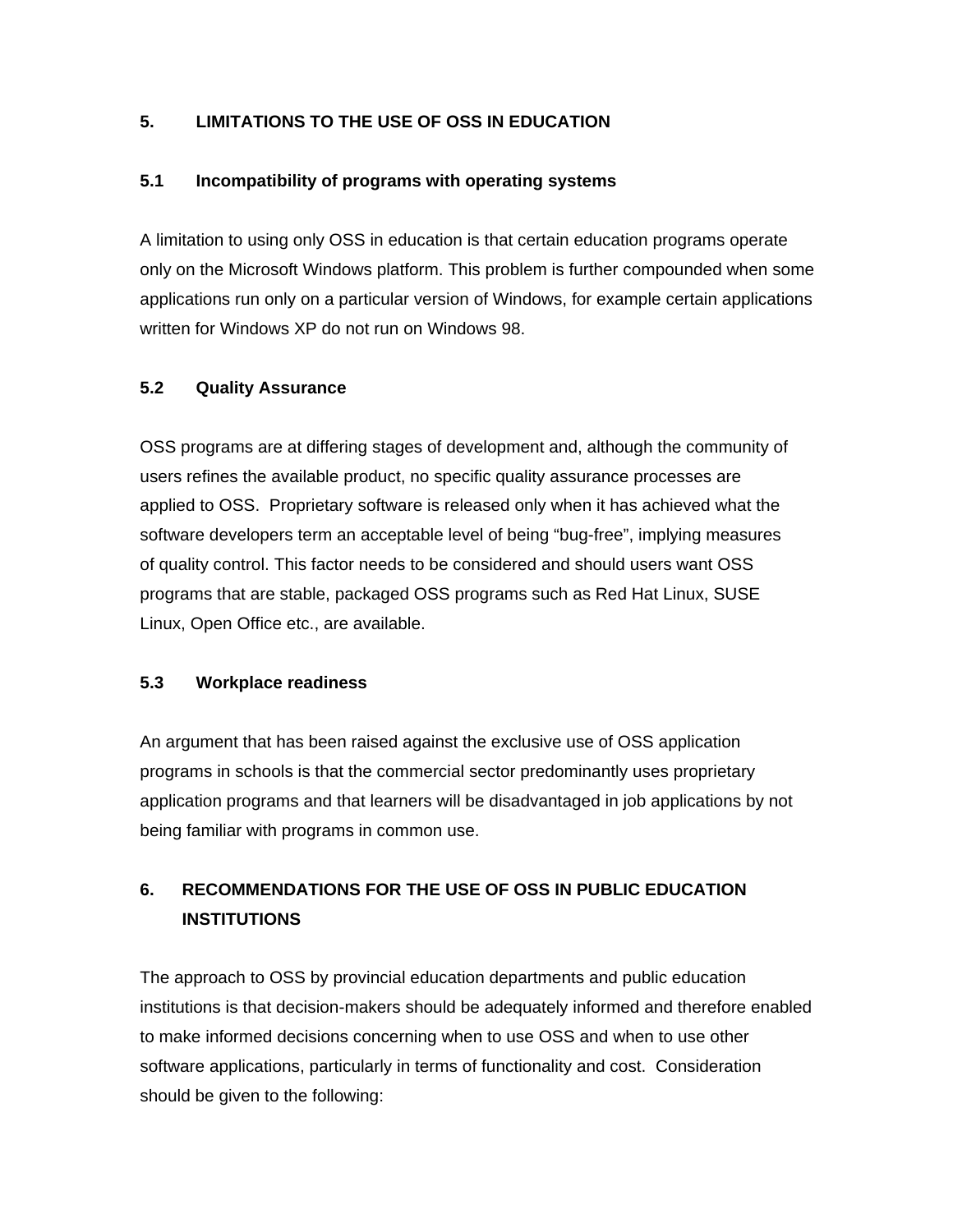#### **5. LIMITATIONS TO THE USE OF OSS IN EDUCATION**

#### **5.1 Incompatibility of programs with operating systems**

A limitation to using only OSS in education is that certain education programs operate only on the Microsoft Windows platform. This problem is further compounded when some applications run only on a particular version of Windows, for example certain applications written for Windows XP do not run on Windows 98.

#### **5.2 Quality Assurance**

OSS programs are at differing stages of development and, although the community of users refines the available product, no specific quality assurance processes are applied to OSS. Proprietary software is released only when it has achieved what the software developers term an acceptable level of being "bug-free", implying measures of quality control. This factor needs to be considered and should users want OSS programs that are stable, packaged OSS programs such as Red Hat Linux, SUSE Linux, Open Office etc., are available.

#### **5.3 Workplace readiness**

An argument that has been raised against the exclusive use of OSS application programs in schools is that the commercial sector predominantly uses proprietary application programs and that learners will be disadvantaged in job applications by not being familiar with programs in common use.

## **6. RECOMMENDATIONS FOR THE USE OF OSS IN PUBLIC EDUCATION INSTITUTIONS**

The approach to OSS by provincial education departments and public education institutions is that decision-makers should be adequately informed and therefore enabled to make informed decisions concerning when to use OSS and when to use other software applications, particularly in terms of functionality and cost. Consideration should be given to the following: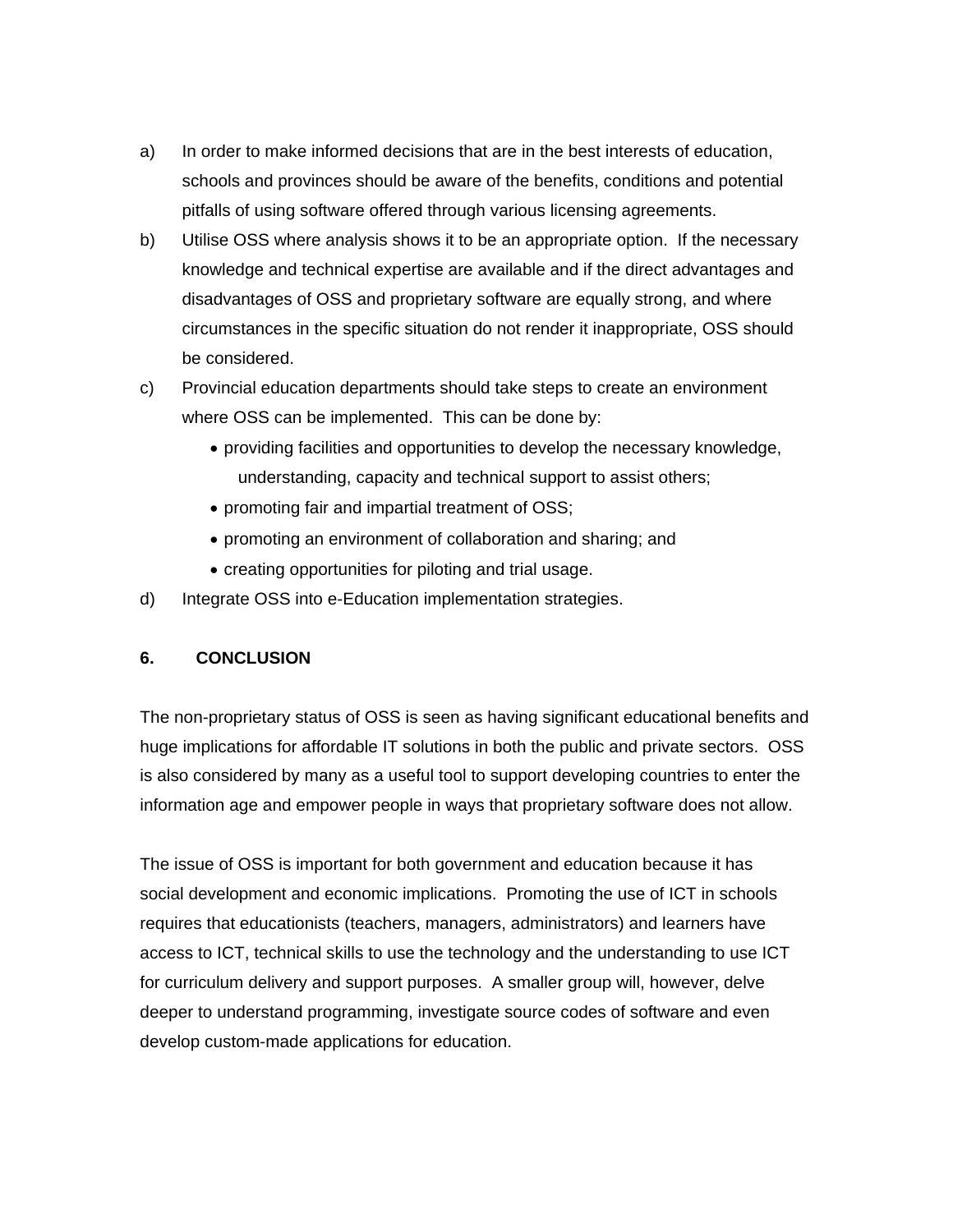- a) In order to make informed decisions that are in the best interests of education, schools and provinces should be aware of the benefits, conditions and potential pitfalls of using software offered through various licensing agreements.
- b) Utilise OSS where analysis shows it to be an appropriate option. If the necessary knowledge and technical expertise are available and if the direct advantages and disadvantages of OSS and proprietary software are equally strong, and where circumstances in the specific situation do not render it inappropriate, OSS should be considered.
- c) Provincial education departments should take steps to create an environment where OSS can be implemented. This can be done by:
	- providing facilities and opportunities to develop the necessary knowledge, understanding, capacity and technical support to assist others;
	- promoting fair and impartial treatment of OSS;
	- promoting an environment of collaboration and sharing; and
	- creating opportunities for piloting and trial usage.
- d) Integrate OSS into e-Education implementation strategies.

#### **6. CONCLUSION**

The non-proprietary status of OSS is seen as having significant educational benefits and huge implications for affordable IT solutions in both the public and private sectors. OSS is also considered by many as a useful tool to support developing countries to enter the information age and empower people in ways that proprietary software does not allow.

The issue of OSS is important for both government and education because it has social development and economic implications. Promoting the use of ICT in schools requires that educationists (teachers, managers, administrators) and learners have access to ICT, technical skills to use the technology and the understanding to use ICT for curriculum delivery and support purposes. A smaller group will, however, delve deeper to understand programming, investigate source codes of software and even develop custom-made applications for education.